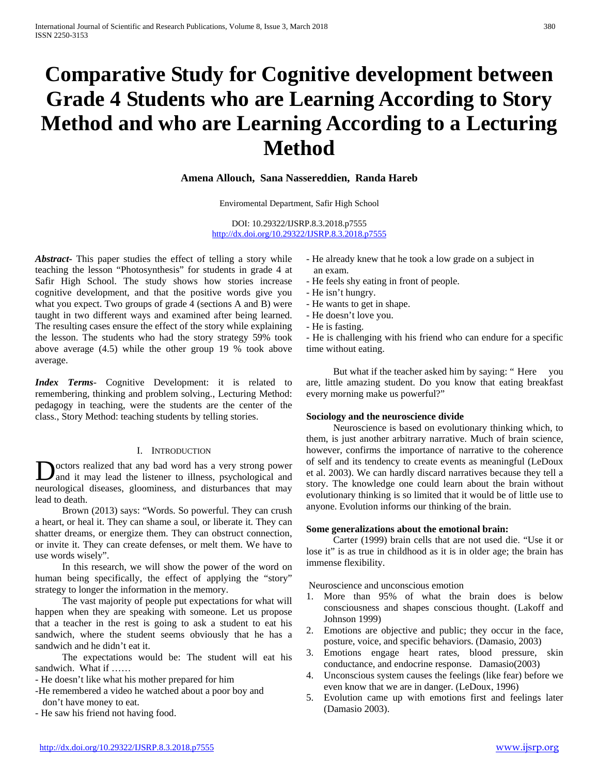# **Comparative Study for Cognitive development between Grade 4 Students who are Learning According to Story Method and who are Learning According to a Lecturing Method**

# **Amena Allouch, Sana Nassereddien, Randa Hareb**

Enviromental Department, Safir High School

DOI: 10.29322/IJSRP.8.3.2018.p7555 <http://dx.doi.org/10.29322/IJSRP.8.3.2018.p7555>

*Abstract***-** This paper studies the effect of telling a story while teaching the lesson "Photosynthesis" for students in grade 4 at Safir High School. The study shows how stories increase cognitive development, and that the positive words give you what you expect. Two groups of grade 4 (sections A and B) were taught in two different ways and examined after being learned. The resulting cases ensure the effect of the story while explaining the lesson. The students who had the story strategy 59% took above average (4.5) while the other group 19 % took above average.

*Index Terms*- Cognitive Development: it is related to remembering, thinking and problem solving., Lecturing Method: pedagogy in teaching, were the students are the center of the class., Story Method: teaching students by telling stories.

# I. INTRODUCTION

octors realized that any bad word has a very strong power **D** octors realized that any bad word has a very strong power and it may lead the listener to illness, psychological and neurological diseases, gloominess, and disturbances that may lead to death.

 Brown (2013) says: "Words. So powerful. They can crush a heart, or heal it. They can shame a soul, or liberate it. They can shatter dreams, or energize them. They can obstruct connection, or invite it. They can create defenses, or melt them. We have to use words wisely".

 In this research, we will show the power of the word on human being specifically, the effect of applying the "story" strategy to longer the information in the memory.

 The vast majority of people put expectations for what will happen when they are speaking with someone. Let us propose that a teacher in the rest is going to ask a student to eat his sandwich, where the student seems obviously that he has a sandwich and he didn't eat it.

 The expectations would be: The student will eat his sandwich. What if ……

- He doesn't like what his mother prepared for him

-He remembered a video he watched about a poor boy and don't have money to eat.

- He saw his friend not having food.

- He already knew that he took a low grade on a subject in an exam.
- He feels shy eating in front of people.
- He isn't hungry.
- He wants to get in shape.
- He doesn't love you.
- He is fasting.

- He is challenging with his friend who can endure for a specific time without eating.

 But what if the teacher asked him by saying: " Here you are, little amazing student. Do you know that eating breakfast every morning make us powerful?"

## **Sociology and the neuroscience divide**

 Neuroscience is based on evolutionary thinking which, to them, is just another arbitrary narrative. Much of brain science, however, confirms the importance of narrative to the coherence of self and its tendency to create events as meaningful (LeDoux et al. 2003). We can hardly discard narratives because they tell a story. The knowledge one could learn about the brain without evolutionary thinking is so limited that it would be of little use to anyone. Evolution informs our thinking of the brain.

## **Some generalizations about the emotional brain:**

 Carter (1999) brain cells that are not used die. "Use it or lose it" is as true in childhood as it is in older age; the brain has immense flexibility.

Neuroscience and unconscious emotion

- 1. More than 95% of what the brain does is below consciousness and shapes conscious thought. (Lakoff and Johnson 1999)
- 2. Emotions are objective and public; they occur in the face, posture, voice, and specific behaviors. (Damasio, 2003)
- 3. Emotions engage heart rates, blood pressure, skin conductance, and endocrine response. Damasio(2003)
- 4. Unconscious system causes the feelings (like fear) before we even know that we are in danger. (LeDoux, 1996)
- 5. Evolution came up with emotions first and feelings later (Damasio 2003).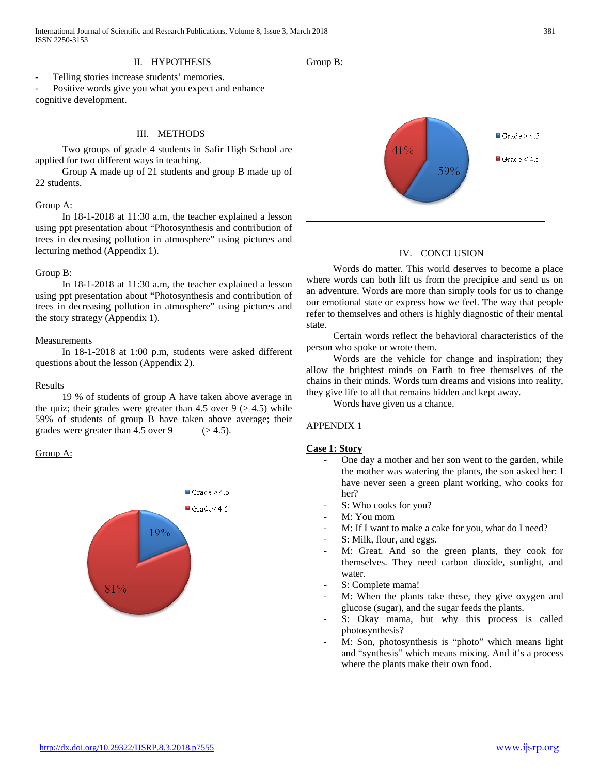International Journal of Scientific and Research Publications, Volume 8, Issue 3, March 2018 381 ISSN 2250-3153

## II. HYPOTHESIS

Telling stories increase students' memories.

Positive words give you what you expect and enhance cognitive development.

## III. METHODS

 Two groups of grade 4 students in Safir High School are applied for two different ways in teaching.

 Group A made up of 21 students and group B made up of 22 students.

## Group A:

 In 18-1-2018 at 11:30 a.m, the teacher explained a lesson using ppt presentation about "Photosynthesis and contribution of trees in decreasing pollution in atmosphere" using pictures and lecturing method (Appendix 1).

#### Group B:

 In 18-1-2018 at 11:30 a.m, the teacher explained a lesson using ppt presentation about "Photosynthesis and contribution of trees in decreasing pollution in atmosphere" using pictures and the story strategy (Appendix 1).

#### Measurements

 In 18-1-2018 at 1:00 p.m, students were asked different questions about the lesson (Appendix 2).

#### Results

 19 % of students of group A have taken above average in the quiz; their grades were greater than 4.5 over  $9$  ( $> 4.5$ ) while 59% of students of group B have taken above average; their grades were greater than  $4.5$  over  $9$  ( $> 4.5$ ).

#### Group A:







# IV. CONCLUSION

 Words do matter. This world deserves to become a place where words can both lift us from the precipice and send us on an adventure. Words are more than simply tools for us to change our emotional state or express how we feel. The way that people refer to themselves and others is highly diagnostic of their mental state.

 Certain words reflect the behavioral characteristics of the person who spoke or wrote them.

 Words are the vehicle for change and inspiration; they allow the brightest minds on Earth to free themselves of the chains in their minds. Words turn dreams and visions into reality, they give life to all that remains hidden and kept away.

Words have given us a chance.

# APPENDIX 1

#### **Case 1: Story**

- One day a mother and her son went to the garden, while the mother was watering the plants, the son asked her: I have never seen a green plant working, who cooks for her?
- S: Who cooks for you?
- M: You mom
- M: If I want to make a cake for you, what do I need?
- S: Milk, flour, and eggs.
- M: Great. And so the green plants, they cook for themselves. They need carbon dioxide, sunlight, and water.
- S: Complete mama!
- M: When the plants take these, they give oxygen and glucose (sugar), and the sugar feeds the plants.
- S: Okay mama, but why this process is called photosynthesis?
- M: Son, photosynthesis is "photo" which means light and "synthesis" which means mixing. And it's a process where the plants make their own food.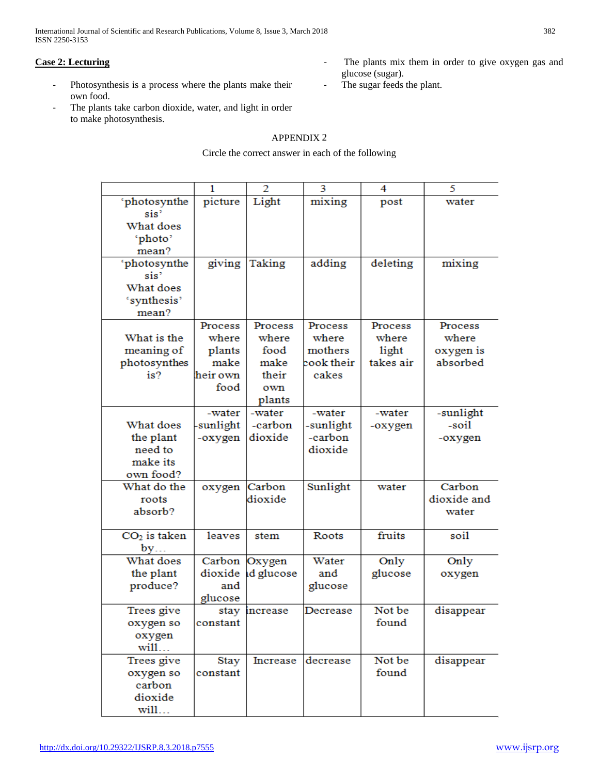International Journal of Scientific and Research Publications, Volume 8, Issue 3, March 2018 382 ISSN 2250-3153

# **Case 2: Lecturing**

- Photosynthesis is a process where the plants make their own food.
- The plants take carbon dioxide, water, and light in order to make photosynthesis.

# APPENDIX 2

# Circle the correct answer in each of the following

|                  | 1        | $\overline{2}$ | 3          | 4         | 5           |
|------------------|----------|----------------|------------|-----------|-------------|
| 'photosynthe     | picture  | Light          | mixing     | post      | water       |
| sis?             |          |                |            |           |             |
| What does        |          |                |            |           |             |
| 'photo'          |          |                |            |           |             |
| mean?            |          |                |            |           |             |
| 'photosynthe     | giving   | Taking         | adding     | deleting  | mixing      |
| sis <sup>?</sup> |          |                |            |           |             |
| What does        |          |                |            |           |             |
| 'synthesis'      |          |                |            |           |             |
| mean?            |          |                |            |           |             |
|                  | Process  | Process        | Process    | Process   | Process     |
| What is the      | where    | where          | where      | where     | where       |
| meaning of       | plants   | food           | mothers    | light     | oxygen is   |
| photosynthes     | make     | make           | cook their | takes air | absorbed    |
| is?              | heir own | their          | cakes      |           |             |
|                  | food     |                |            |           |             |
|                  |          | own            |            |           |             |
|                  |          | plants         |            |           |             |
|                  | -water   | -water         | -water     | -water    | -sunlight   |
| What does        | sunlight | -carbon        | -sunlight  | -oxygen   | -soil       |
| the plant        | -oxygen  | dioxide        | -carbon    |           | -oxygen     |
| need to          |          |                | dioxide    |           |             |
| make its         |          |                |            |           |             |
| own food?        |          |                |            |           |             |
| What do the      | oxygen   | Carbon         | Sunlight   | water     | Carbon      |
| roots            |          | dioxide        |            |           | dioxide and |
| absorb?          |          |                |            |           | water       |
|                  |          |                |            |           |             |
| $CO2$ is taken   | leaves   | stem           | Roots      | fruits    | soil        |
| by               |          |                |            |           |             |
| What does        | Carbon   | Oxygen         | Water      | Only      | Only        |
| the plant        | dioxide  | d glucose      | and        | glucose   | oxygen      |
| produce?         | and      |                | glucose    |           |             |
|                  | glucose  |                |            |           |             |
| Trees give       | stay     | increase       | Decrease   | Not be    | disappear   |
| oxygen so        | constant |                |            | found     |             |
| oxygen           |          |                |            |           |             |
| will             |          |                |            |           |             |
| Trees give       | Stay     | Increase       | decrease   | Not be    | disappear   |
| oxygen so        | constant |                |            | found     |             |
| carbon           |          |                |            |           |             |
| dioxide          |          |                |            |           |             |
| will             |          |                |            |           |             |

- The plants mix them in order to give oxygen gas and glucose (sugar).
- The sugar feeds the plant.